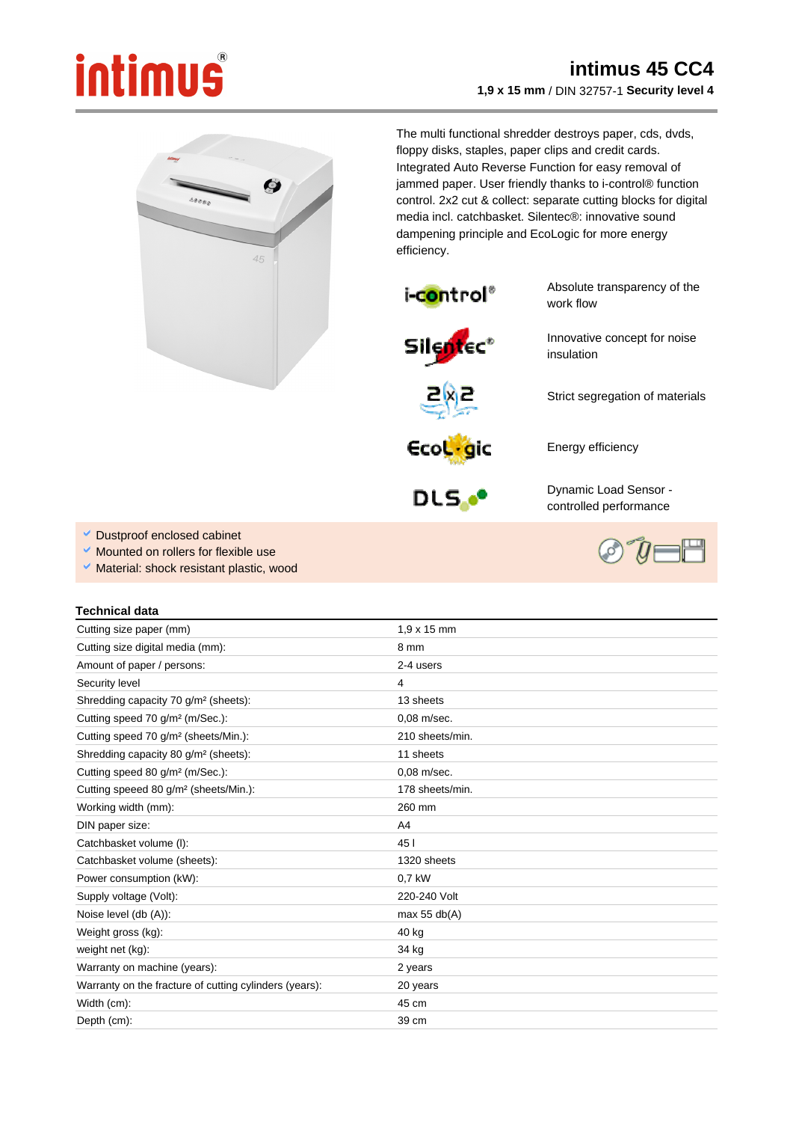## intimus

## **intimus 45 CC4 1,9 x 15 mm** / DIN 32757-1 **Security level 4**



The multi functional shredder destroys paper, cds, dvds, floppy disks, staples, paper clips and credit cards. Integrated Auto Reverse Function for easy removal of jammed paper. User friendly thanks to i-control® function control. 2x2 cut & collect: separate cutting blocks for digital media incl. catchbasket. Silentec®: innovative sound dampening principle and EcoLogic for more energy efficiency.

insulation



Absolute transparency of the work flow

Innovative concept for noise

Strict segregation of materials



Ecologic

DLS.<sup>oo</sup>

Dynamic Load Sensor controlled performance

Energy efficiency

- Dustproof enclosed cabinet
- Mounted on rollers for flexible use
- Ŷ, Material: shock resistant plastic, wood

## **Technical data**

| Cutting size paper (mm)                                | $1.9 \times 15$ mm |
|--------------------------------------------------------|--------------------|
| Cutting size digital media (mm):                       | 8 mm               |
| Amount of paper / persons:                             | 2-4 users          |
| Security level                                         | 4                  |
| Shredding capacity 70 g/m <sup>2</sup> (sheets):       | 13 sheets          |
| Cutting speed 70 g/m <sup>2</sup> (m/Sec.):            | 0.08 m/sec.        |
| Cutting speed 70 g/m <sup>2</sup> (sheets/Min.):       | 210 sheets/min.    |
| Shredding capacity 80 g/m <sup>2</sup> (sheets):       | 11 sheets          |
| Cutting speed 80 g/m <sup>2</sup> (m/Sec.):            | 0.08 m/sec.        |
| Cutting speeed 80 g/m <sup>2</sup> (sheets/Min.):      | 178 sheets/min.    |
| Working width (mm):                                    | 260 mm             |
| DIN paper size:                                        | A4                 |
| Catchbasket volume (I):                                | 45                 |
| Catchbasket volume (sheets):                           | 1320 sheets        |
| Power consumption (kW):                                | 0.7 kW             |
| Supply voltage (Volt):                                 | 220-240 Volt       |
| Noise level (db (A)):                                  | max $55$ db(A)     |
| Weight gross (kg):                                     | 40 kg              |
| weight net (kg):                                       | 34 kg              |
| Warranty on machine (years):                           | 2 years            |
| Warranty on the fracture of cutting cylinders (years): | 20 years           |
| Width (cm):                                            | 45 cm              |
| Depth (cm):                                            | 39 cm              |